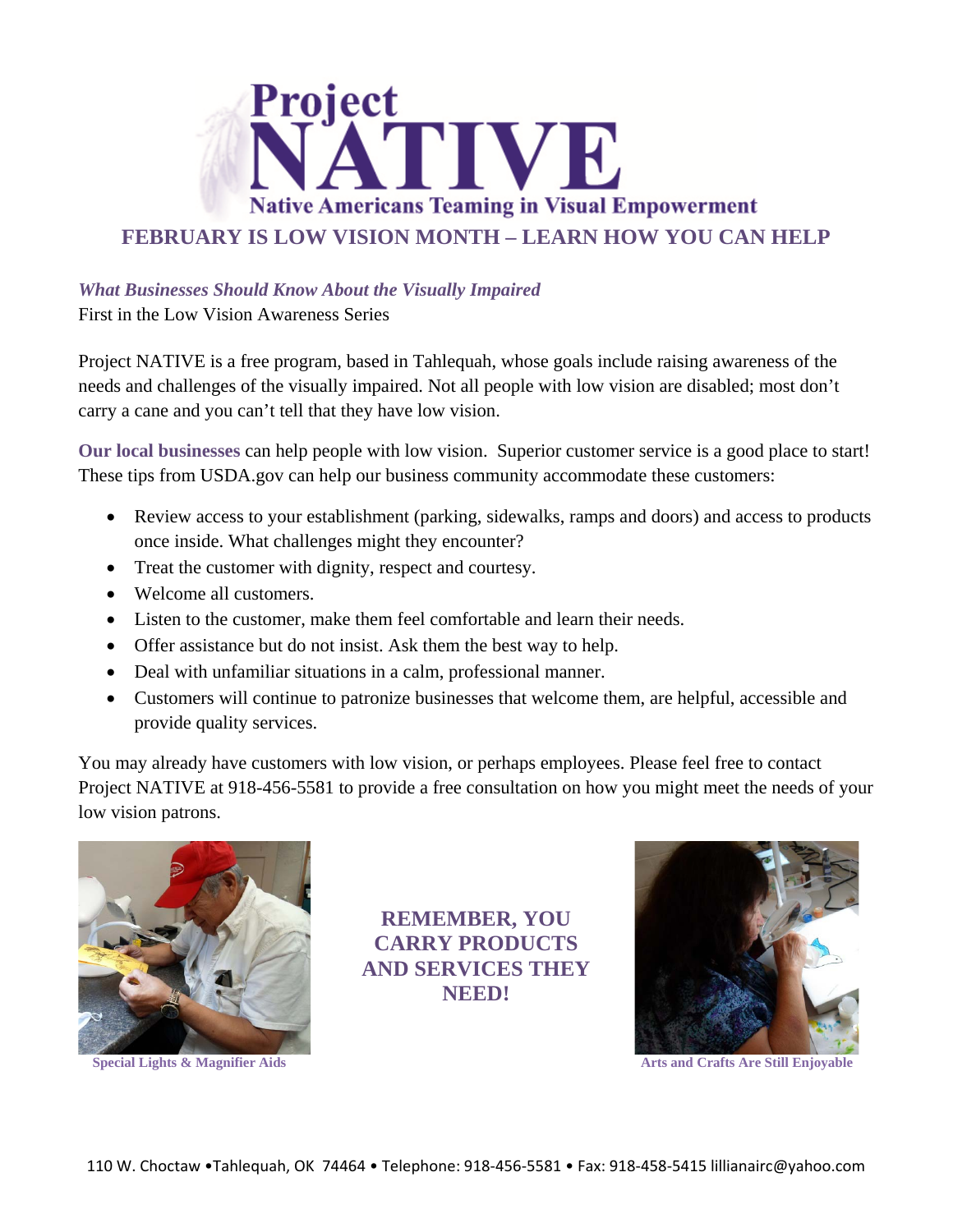

## *What Businesses Should Know About the Visually Impaired*

First in the Low Vision Awareness Series

Project NATIVE is a free program, based in Tahlequah, whose goals include raising awareness of the needs and challenges of the visually impaired. Not all people with low vision are disabled; most don't carry a cane and you can't tell that they have low vision.

**Our local businesses** can help people with low vision. Superior customer service is a good place to start! These tips from USDA.gov can help our business community accommodate these customers:

- Review access to your establishment (parking, sidewalks, ramps and doors) and access to products once inside. What challenges might they encounter?
- Treat the customer with dignity, respect and courtesy.
- Welcome all customers.
- Listen to the customer, make them feel comfortable and learn their needs.
- Offer assistance but do not insist. Ask them the best way to help.
- Deal with unfamiliar situations in a calm, professional manner.
- Customers will continue to patronize businesses that welcome them, are helpful, accessible and provide quality services.

You may already have customers with low vision, or perhaps employees. Please feel free to contact Project NATIVE at 918-456-5581 to provide a free consultation on how you might meet the needs of your low vision patrons.



**Special Lights & Magnifier Aids** 

**REMEMBER, YOU CARRY PRODUCTS AND SERVICES THEY NEED!**



**Arts and Crafts Are Still Enjoyable**